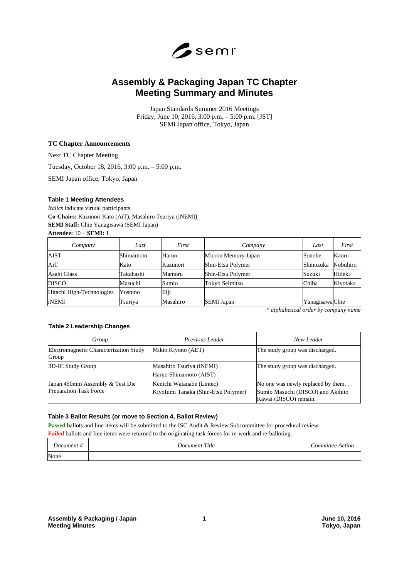

# **Assembly & Packaging Japan TC Chapter Meeting Summary and Minutes**

Japan Standards Summer 2016 Meetings Friday, June 10, 2016, 3:00 p.m. – 5:00 p.m. [JST] SEMI Japan office, Tokyo, Japan

#### **TC Chapter Announcements**

Next TC Chapter Meeting

Tuesday, October 18, 2016, 3:00 p.m. – 5:00 p.m.

SEMI Japan office, Tokyo, Japan

#### **Table 1 Meeting Attendees**

*Italics* indicate virtual participants **Co-Chairs:** Kazunori Kato (AiT), Masahiro Tsuriya (iNEMI) **SEMI Staff:** Chie Yanagisawa (SEMI Japan)

**Attendee:** 10 + **SEMI:** 1

| Company                   | Last      | First    | Company             | Last            | First    |
|---------------------------|-----------|----------|---------------------|-----------------|----------|
| AIST                      | Shimamoto | Haruo    | Micron Memory Japan | Sonobe          | Kaoru    |
| AiT                       | Kato      | Kazunori | Shin-Etsu Polymer   | Shinozuka       | Nobuhiro |
| Asahi Glass               | Takahashi | Mamoru   | Shin-Etsu Polymer   | Suzuki          | Hideki   |
| <b>DISCO</b>              | Masuchi   | Sumio    | Tokyo Seimitsu      | Chiba           | Kiyotaka |
| Hitachi High-Technologies | Yoshino   | Eiji     |                     |                 |          |
| iNEMI                     | Tsuriya   | Masahiro | <b>SEMI</b> Japan   | Yanagisawa Chie |          |

*\* alphabetical order by company name* 

#### **Table 2 Leadership Changes**

| Group                                                            | Previous Leader                                                  | New Leader                                                                                      |
|------------------------------------------------------------------|------------------------------------------------------------------|-------------------------------------------------------------------------------------------------|
| Electromagnetic Characterization Study<br>Group                  | Mikio Kiyono (AET)                                               | The study group was discharged.                                                                 |
| 3D-IC Study Group                                                | Masahiro Tsuriya (iNEMI)<br>Haruo Shimamoto (AIST)               | The study group was discharged.                                                                 |
| Japan 450mm Assembly & Test Die<br><b>Preparation Task Force</b> | Kenichi Watanabe (Lintec)<br>Kiyofumi Tanaka (Shin-Etsu Polymer) | No one was newly replaced by them<br>Sumio Masuchi (DISCO) and Akihito<br>Kawai (DISCO) remain. |

#### **Table 3 Ballot Results (or move to Section 4, Ballot Review)**

**Passed** ballots and line items will be submitted to the ISC Audit & Review Subcommittee for procedural review.

**Failed** ballots and line items were returned to the originating task forces for re-work and re-balloting.

| $\overline{f}$<br>ocument | $\sim$<br>utle<br>Jocument<br>.<br>. | <i>ommittee</i><br>ction |
|---------------------------|--------------------------------------|--------------------------|
| None                      |                                      |                          |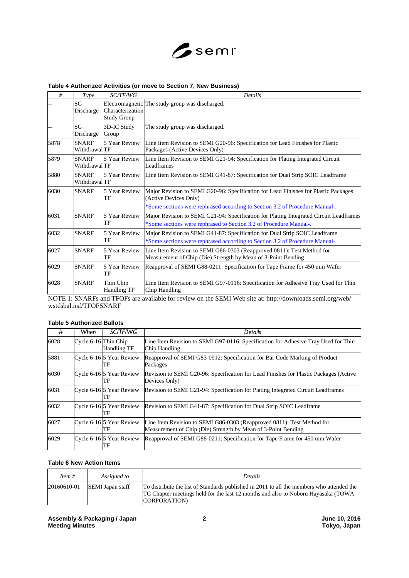

# **Table 4 Authorized Activities (or move to Section 7, New Business)**

| #    | <b>Type</b>                          | SC/TF/WG                               | <b>Details</b>                                                                                                                                                                               |
|------|--------------------------------------|----------------------------------------|----------------------------------------------------------------------------------------------------------------------------------------------------------------------------------------------|
|      | SG<br>Discharge                      | Characterization<br><b>Study Group</b> | Electromagnetic The study group was discharged.                                                                                                                                              |
|      | SG<br>Discharge                      | 3D-IC Study<br>Group                   | The study group was discharged.                                                                                                                                                              |
| 5878 | <b>SNARF</b><br>WithdrawalTF         | 5 Year Review                          | Line Item Revision to SEMI G20-96: Specification for Lead Finishes for Plastic<br>Packages (Active Devices Only)                                                                             |
| 5879 | <b>SNARF</b><br><b>Withdrawal</b> TF | 5 Year Review                          | Line Item Revision to SEMI G21-94: Specification for Plating Integrated Circuit<br>Leadframes                                                                                                |
| 5880 | <b>SNARF</b><br>WithdrawalTF         | 5 Year Review                          | Line Item Revision to SEMI G41-87: Specification for Dual Strip SOIC Leadframe                                                                                                               |
| 6030 | <b>SNARF</b>                         | 5 Year Review<br>TF                    | Major Revision to SEMI G20-96: Specification for Lead Finishes for Plastic Packages<br>(Active Devices Only)<br>*Some sections were rephrased according to Section 3.2 of Procedure Manual-. |
| 6031 | <b>SNARF</b>                         | 5 Year Review<br>TF                    | Major Revision to SEMI G21-94: Specification for Plating Integrated Circuit Leadframes<br>*Some sections were rephrased to Section 3.2 of Procedure Manual-.                                 |
| 6032 | <b>SNARF</b>                         | 5 Year Review<br>TF                    | Major Revision to SEMI G41-87: Specification for Dual Strip SOIC Leadframe<br>*Some sections were rephrased according to Section 3.2 of Procedure Manual-.                                   |
| 6027 | <b>SNARF</b>                         | 5 Year Review<br>TF                    | Line Item Revision to SEMI G86-0303 (Reapproved 0811): Test Method for<br>Measurement of Chip (Die) Strength by Mean of 3-Point Bending                                                      |
| 6029 | <b>SNARF</b>                         | 5 Year Review<br>TF                    | Reapproval of SEMI G88-0211: Specification for Tape Frame for 450 mm Wafer                                                                                                                   |
| 6028 | <b>SNARF</b>                         | Thin Chip<br><b>Handling TF</b>        | Line Item Revision to SEMI G97-0116: Specification for Adhesive Tray Used for Thin<br>Chip Handling                                                                                          |

NOTE 1: SNARFs and TFOFs are available for review on the SEMI Web site at: http://downloads.semi.org/web/ wstdsbal.nsf/TFOFSNARF

# **Table 5 Authorized Ballots**

| #    | When                 | SC/TF/WG                       | Details                                                                                                                                 |
|------|----------------------|--------------------------------|-----------------------------------------------------------------------------------------------------------------------------------------|
| 6028 | Cycle 6-16 Thin Chip | Handling TF                    | Line Item Revision to SEMI G97-0116: Specification for Adhesive Tray Used for Thin<br>Chip Handling                                     |
| 5881 |                      | Cycle 6-16 5 Year Review<br>TF | Reapproval of SEMI G83-0912: Specification for Bar Code Marking of Product<br>Packages                                                  |
| 6030 |                      | Cycle 6-16 5 Year Review<br>TF | Revision to SEMI G20-96: Specification for Lead Finishes for Plastic Packages (Active<br>Devices Only)                                  |
| 6031 |                      | Cycle 6-16 5 Year Review<br>TF | Revision to SEMI G21-94: Specification for Plating Integrated Circuit Leadframes                                                        |
| 6032 |                      | Cycle 6-16 5 Year Review<br>TF | Revision to SEMI G41-87: Specification for Dual Strip SOIC Leadframe                                                                    |
| 6027 |                      | Cycle 6-16 5 Year Review<br>TF | Line Item Revision to SEMI G86-0303 (Reapproved 0811): Test Method for<br>Measurement of Chip (Die) Strength by Mean of 3-Point Bending |
| 6029 |                      | Cycle 6-16 5 Year Review<br>TF | Reapproval of SEMI G88-0211: Specification for Tape Frame for 450 mm Wafer                                                              |

## **Table 6 New Action Items**

| Item #      | Assigned to      | Details                                                                                                                                                                                               |
|-------------|------------------|-------------------------------------------------------------------------------------------------------------------------------------------------------------------------------------------------------|
| 20160610-01 | SEMI Japan staff | To distribute the list of Standards published in 2011 to all the members who attended the<br>TC Chapter meetings held for the last 12 months and also to Noboru Hayasaka (TOWA)<br><b>CORPORATION</b> |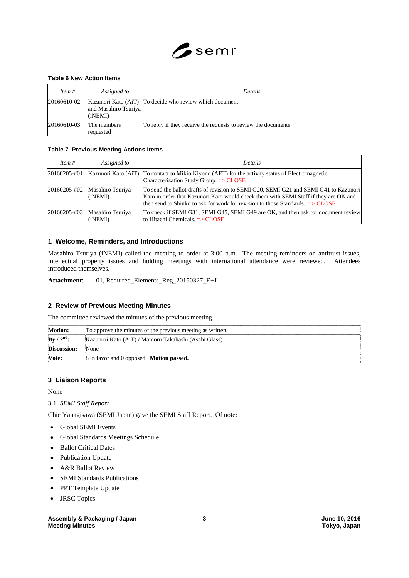

#### **Table 6 New Action Items**

| Item $#$    | Assigned to                     | <b>Details</b>                                                |
|-------------|---------------------------------|---------------------------------------------------------------|
| 20160610-02 | and Masahiro Tsuriya<br>(iNEMI) | Kazunori Kato (AiT) To decide who review which document       |
| 20160610-03 | The members<br>requested        | To reply if they receive the requests to review the documents |

#### **Table 7 Previous Meeting Actions Items**

| Item $#$     | Assigned to                                  | <b>Details</b>                                                                                                                                                                                                                                                           |
|--------------|----------------------------------------------|--------------------------------------------------------------------------------------------------------------------------------------------------------------------------------------------------------------------------------------------------------------------------|
| 20160205-#01 | Kazunori Kato (AiT)                          | To contact to Mikio Kiyono (AET) for the activity status of Electromagnetic<br>Characterization Study Group. $\Rightarrow$ CLOSE                                                                                                                                         |
|              | $20160205 - #02$ Masahiro Tsuriya<br>(iNEMI) | To send the ballot drafts of revision to SEMI G20, SEMI G21 and SEMI G41 to Kazunori<br>Kato in order that Kazunori Kato would check them with SEMI Staff if they are OK and<br>then send to Shinko to ask for work for revision to those Standards. $\Rightarrow$ CLOSE |
| 20160205-#03 | Masahiro Tsuriya<br>(iNEMI)                  | To check if SEMI G31, SEMI G45, SEMI G49 are OK, and then ask for document review<br>to Hitachi Chemicals. $\Rightarrow$ CLOSE                                                                                                                                           |

### **1 Welcome, Reminders, and Introductions**

Masahiro Tsuriya (iNEMI) called the meeting to order at 3:00 p.m. The meeting reminders on antitrust issues, intellectual property issues and holding meetings with international attendance were reviewed. Attendees introduced themselves.

**Attachment**: 01, Required\_Elements\_Reg\_20150327\_E+J

# **2 Review of Previous Meeting Minutes**

The committee reviewed the minutes of the previous meeting.

| <b>Motion:</b>                  | To approve the minutes of the previous meeting as written. |
|---------------------------------|------------------------------------------------------------|
| $\mathbf{By}/2^{\mathrm{nd}}$ : | Kazunori Kato (AiT) / Mamoru Takahashi (Asahi Glass)       |
| <b>Discussion:</b>              | None                                                       |
| Vote:                           | 8 in favor and 0 opposed. <b>Motion passed.</b>            |

### **3 Liaison Reports**

None

## 3.1 *SEMI Staff Report*

Chie Yanagisawa (SEMI Japan) gave the SEMI Staff Report. Of note:

- Global SEMI Events
- Global Standards Meetings Schedule
- Ballot Critical Dates
- Publication Update
- A&R Ballot Review
- SEMI Standards Publications
- PPT Template Update
- JRSC Topics

# Assembly & Packaging / Japan 3 3 3 3 3 June 10, 2016 **Meeting Minutes Tokyo, Japan**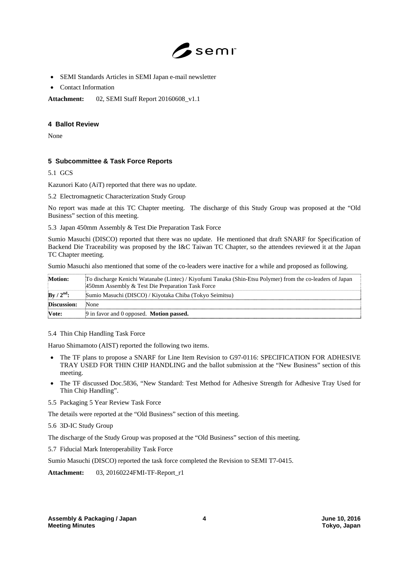

- SEMI Standards Articles in SEMI Japan e-mail newsletter
- Contact Information

**Attachment:** 02, SEMI Staff Report 20160608\_v1.1

## **4 Ballot Review**

None

# **5 Subcommittee & Task Force Reports**

5.1 GCS

Kazunori Kato (AiT) reported that there was no update.

5.2 Electromagnetic Characterization Study Group

No report was made at this TC Chapter meeting. The discharge of this Study Group was proposed at the "Old Business" section of this meeting.

5.3 Japan 450mm Assembly & Test Die Preparation Task Force

Sumio Masuchi (DISCO) reported that there was no update. He mentioned that draft SNARF for Specification of Backend Die Traceability was proposed by the I&C Taiwan TC Chapter, so the attendees reviewed it at the Japan TC Chapter meeting.

Sumio Masuchi also mentioned that some of the co-leaders were inactive for a while and proposed as following.

| <b>Motion:</b>                  | To discharge Kenichi Watanabe (Lintec) / Kiyofumi Tanaka (Shin-Etsu Polymer) from the co-leaders of Japan<br>450mm Assembly & Test Die Preparation Task Force |
|---------------------------------|---------------------------------------------------------------------------------------------------------------------------------------------------------------|
| $\mathrm{By}/2^{\mathrm{nd}}$ : | Sumio Masuchi (DISCO) / Kiyotaka Chiba (Tokyo Seimitsu)                                                                                                       |
| <b>Discussion:</b>              | None                                                                                                                                                          |
| Vote:                           | 9 in favor and 0 opposed. <b>Motion passed.</b>                                                                                                               |

## 5.4 Thin Chip Handling Task Force

Haruo Shimamoto (AIST) reported the following two items.

- The TF plans to propose a SNARF for Line Item Revision to G97-0116: SPECIFICATION FOR ADHESIVE TRAY USED FOR THIN CHIP HANDLING and the ballot submission at the "New Business" section of this meeting.
- The TF discussed Doc.5836, "New Standard: Test Method for Adhesive Strength for Adhesive Tray Used for Thin Chip Handling".
- 5.5 Packaging 5 Year Review Task Force

The details were reported at the "Old Business" section of this meeting.

5.6 3D-IC Study Group

The discharge of the Study Group was proposed at the "Old Business" section of this meeting.

5.7 Fiducial Mark Interoperability Task Force

Sumio Masuchi (DISCO) reported the task force completed the Revision to SEMI T7-0415.

**Attachment:** 03, 20160224FMI-TF-Report\_r1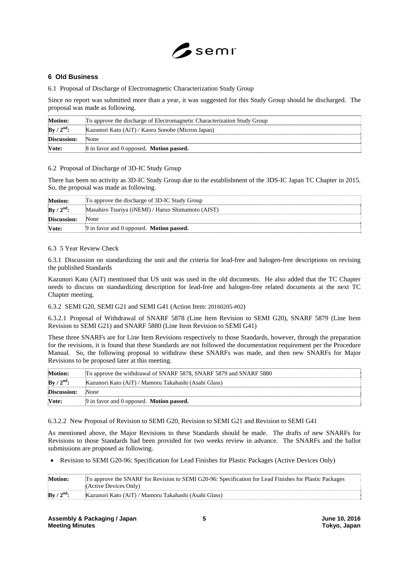

# **6 Old Business**

6.1 Proposal of Discharge of Electromagnetic Characterization Study Group

Since no report was submitted more than a year, it was suggested for this Study Group should be discharged. The proposal was made as following.

| <b>Motion:</b> | To approve the discharge of Electromagnetic Characterization Study Group |  |
|----------------|--------------------------------------------------------------------------|--|
| $By / 2nd$ :   | Kazunori Kato (AiT) / Kaoru Sonobe (Micron Japan)                        |  |
| Discussion:    | None                                                                     |  |
| Vote:          | 8 in favor and 0 opposed. <b>Motion passed.</b>                          |  |

#### 6.2 Proposal of Discharge of 3D-IC Study Group

There has been no activity as 3D-IC Study Group due to the establishment of the 3DS-IC Japan TC Chapter in 2015. So, the proposal was made as following.

| <b>Motion:</b> | To approve the discharge of 3D-IC Study Group     |
|----------------|---------------------------------------------------|
| $By / 2nd$ :   | Masahiro Tsuriya (iNEMI) / Haruo Shimamoto (AIST) |
| Discussion:    | None                                              |
| Vote:          | 9 in favor and 0 opposed. <b>Motion passed.</b>   |

#### 6.3 5 Year Review Check

6.3.1 Discussion on standardizing the unit and the criteria for lead-free and halogen-free descriptions on revising the published Standards

Kazunori Kato (AiT) mentioned that US unit was used in the old documents. He also added that the TC Chapter needs to discuss on standardizing description for lead-free and halogen-free related documents at the next TC Chapter meeting.

6.3.2 SEMI G20, SEMI G21 and SEMI G41 (Action Item: 20160205-#02)

6.3.2.1 Proposal of Withdrawal of SNARF 5878 (Line Item Revision to SEMI G20), SNARF 5879 (Line Item Revision to SEMI G21) and SNARF 5880 (Line Item Revision to SEMI G41)

These three SNARFs are for Line Item Revisions respectively to those Standards, however, through the preparation for the revisions, it is found that these Standards are not followed the documentation requirement per the Procedure Manual. So, the following proposal to withdraw these SNARFs was made, and then new SNARFs for Major Revisions to be proposed later at this meeting.

| <b>Motion:</b> | To approve the withdrawal of SNARF 5878, SNARF 5879 and SNARF 5880 |  |
|----------------|--------------------------------------------------------------------|--|
| By / $2nd$ :   | Kazunori Kato (AiT) / Mamoru Takahashi (Asahi Glass)               |  |
| Discussion:    | <b>None</b>                                                        |  |
| Vote:          | $\beta$ in favor and 0 opposed. <b>Motion passed.</b>              |  |

6.3.2.2 New Proposal of Revision to SEMI G20, Revision to SEMI G21 and Revision to SEMI G41

As mentioned above, the Major Revisions to these Standards should be made. The drafts of new SNARFs for Revisions to those Standards had been provided for two weeks review in advance. The SNARFs and the ballot submissions are proposed as following.

Revision to SEMI G20-96: Specification for Lead Finishes for Plastic Packages (Active Devices Only)

| <b>Motion:</b>                  | To approve the SNARF for Revision to SEMI G20-96: Specification for Lead Finishes for Plastic Packages<br>(Active Devices Only) |  |
|---------------------------------|---------------------------------------------------------------------------------------------------------------------------------|--|
| $\mathbf{By} / 2^{\text{nd}}$ : | Kazunori Kato (AiT) / Mamoru Takahashi (Asahi Glass)                                                                            |  |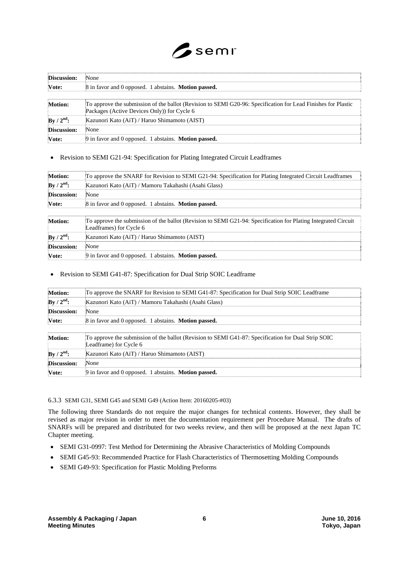

| Discussion:    | None                                                                                                                                                         |  |
|----------------|--------------------------------------------------------------------------------------------------------------------------------------------------------------|--|
| Vote:          | 8 in favor and 0 opposed. 1 abstains. <b>Motion passed.</b>                                                                                                  |  |
| <b>Motion:</b> | To approve the submission of the ballot (Revision to SEMI G20-96: Specification for Lead Finishes for Plastic<br>Packages (Active Devices Only)) for Cycle 6 |  |
| By / $2nd$ :   | Kazunori Kato (AiT) / Haruo Shimamoto (AIST)                                                                                                                 |  |
| Discussion:    | None                                                                                                                                                         |  |
| Vote:          | 9 in favor and 0 opposed. 1 abstains. <b>Motion passed.</b>                                                                                                  |  |

Revision to SEMI G21-94: Specification for Plating Integrated Circuit Leadframes

| Motion:        | To approve the SNARF for Revision to SEMI G21-94: Specification for Plating Integrated Circuit Leadframes                                 |  |
|----------------|-------------------------------------------------------------------------------------------------------------------------------------------|--|
| $By / 2nd$ :   | Kazunori Kato (AiT) / Mamoru Takahashi (Asahi Glass)                                                                                      |  |
| Discussion:    | None                                                                                                                                      |  |
| Vote:          | 8 in favor and 0 opposed. 1 abstains. <b>Motion passed.</b>                                                                               |  |
|                |                                                                                                                                           |  |
| <b>Motion:</b> | To approve the submission of the ballot (Revision to SEMI G21-94: Specification for Plating Integrated Circuit<br>Leadframes) for Cycle 6 |  |
| $By / 2nd$ :   | Kazunori Kato (AiT) / Haruo Shimamoto (AIST)                                                                                              |  |
| Discussion:    | None                                                                                                                                      |  |
| Vote:          | 9 in favor and 0 opposed. 1 abstains. <b>Motion passed.</b>                                                                               |  |

## Revision to SEMI G41-87: Specification for Dual Strip SOIC Leadframe

| Motion:                         | To approve the SNARF for Revision to SEMI G41-87: Specification for Dual Strip SOIC Leadframe                                 |  |
|---------------------------------|-------------------------------------------------------------------------------------------------------------------------------|--|
| $\mathbf{By}/2^{\mathrm{nd}}$ : | Kazunori Kato (AiT) / Mamoru Takahashi (Asahi Glass)                                                                          |  |
| <b>Discussion:</b>              | None                                                                                                                          |  |
| Vote:                           | 8 in favor and 0 opposed. 1 abstains. <b>Motion passed.</b>                                                                   |  |
|                                 |                                                                                                                               |  |
| Motion:                         | To approve the submission of the ballot (Revision to SEMI G41-87: Specification for Dual Strip SOIC<br>Leadframe) for Cycle 6 |  |
| By / $2^{\text{nd}}$ :          | Kazunori Kato (AiT) / Haruo Shimamoto (AIST)                                                                                  |  |
| Discussion:                     | None                                                                                                                          |  |
| Vote:                           | 9 in favor and 0 opposed. 1 abstains. <b>Motion passed.</b>                                                                   |  |

#### 6.3.3 SEMI G31, SEMI G45 and SEMI G49 (Action Item: 20160205-#03)

The following three Standards do not require the major changes for technical contents. However, they shall be revised as major revision in order to meet the documentation requirement per Procedure Manual. The drafts of SNARFs will be prepared and distributed for two weeks review, and then will be proposed at the next Japan TC Chapter meeting.

- SEMI G31-0997: Test Method for Determining the Abrasive Characteristics of Molding Compounds
- SEMI G45-93: Recommended Practice for Flash Characteristics of Thermosetting Molding Compounds
- SEMI G49-93: Specification for Plastic Molding Preforms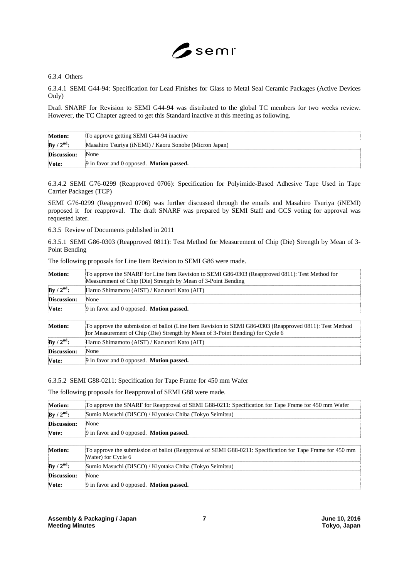

6.3.4 Others

6.3.4.1 SEMI G44-94: Specification for Lead Finishes for Glass to Metal Seal Ceramic Packages (Active Devices Only)

Draft SNARF for Revision to SEMI G44-94 was distributed to the global TC members for two weeks review. However, the TC Chapter agreed to get this Standard inactive at this meeting as following.

| <b>Motion:</b> | To approve getting SEMI G44-94 inactive                |
|----------------|--------------------------------------------------------|
| By / $2nd$ :   | Masahiro Tsuriya (iNEMI) / Kaoru Sonobe (Micron Japan) |
| Discussion:    | None                                                   |
| <b>Note:</b>   | $\Theta$ in favor and 0 opposed. <b>Motion passed.</b> |

6.3.4.2 SEMI G76-0299 (Reapproved 0706): Specification for Polyimide-Based Adhesive Tape Used in Tape Carrier Packages (TCP)

SEMI G76-0299 (Reapproved 0706) was further discussed through the emails and Masahiro Tsuriya (iNEMI) proposed it for reapproval. The draft SNARF was prepared by SEMI Staff and GCS voting for approval was requested later.

6.3.5 Review of Documents published in 2011

6.3.5.1 SEMI G86-0303 (Reapproved 0811): Test Method for Measurement of Chip (Die) Strength by Mean of 3- Point Bending

| <b>Motion:</b>                | To approve the SNARF for Line Item Revision to SEMI G86-0303 (Reapproved 0811): Test Method for<br>Measurement of Chip (Die) Strength by Mean of 3-Point Bending                                                                                                                                                                              |  |
|-------------------------------|-----------------------------------------------------------------------------------------------------------------------------------------------------------------------------------------------------------------------------------------------------------------------------------------------------------------------------------------------|--|
| $By / 2nd$ :                  | Haruo Shimamoto (AIST) / Kazunori Kato (AiT)                                                                                                                                                                                                                                                                                                  |  |
| <b>Discussion:</b>            | None                                                                                                                                                                                                                                                                                                                                          |  |
| Vote:                         | 9 in favor and 0 opposed. <b>Motion passed.</b>                                                                                                                                                                                                                                                                                               |  |
|                               |                                                                                                                                                                                                                                                                                                                                               |  |
| $\mathbf{a}$ and $\mathbf{a}$ | $\overline{a}$ and $\overline{a}$ in $\overline{a}$ in $\overline{a}$ in $\overline{a}$ in $\overline{a}$ in $\overline{a}$ and $\overline{a}$ in $\overline{a}$ in $\overline{a}$ in $\overline{a}$ in $\overline{a}$ in $\overline{a}$ in $\overline{a}$ in $\overline{a}$ in $\overline{a}$ in $\overline{a}$ in $\overline{a}$ in $\over$ |  |

The following proposals for Line Item Revision to SEMI G86 were made.

| <b>Motion:</b> | To approve the submission of ballot (Line Item Revision to SEMI G86-0303 (Reapproved 0811): Test Method<br>for Measurement of Chip (Die) Strength by Mean of 3-Point Bending) for Cycle 6 |  |
|----------------|-------------------------------------------------------------------------------------------------------------------------------------------------------------------------------------------|--|
| $By / 2nd$ :   | Haruo Shimamoto (AIST) / Kazunori Kato (AiT)                                                                                                                                              |  |
| Discussion:    | None                                                                                                                                                                                      |  |
| Vote:          | 9 in favor and 0 opposed. Motion passed.                                                                                                                                                  |  |

6.3.5.2 SEMI G88-0211: Specification for Tape Frame for 450 mm Wafer

The following proposals for Reapproval of SEMI G88 were made.

| Motion:            | To approve the SNARF for Reapproval of SEMI G88-0211: Specification for Tape Frame for 450 mm Wafer                             |  |
|--------------------|---------------------------------------------------------------------------------------------------------------------------------|--|
| $By / 2nd$ :       | Sumio Masuchi (DISCO) / Kiyotaka Chiba (Tokyo Seimitsu)                                                                         |  |
| <b>Discussion:</b> | None                                                                                                                            |  |
| Vote:              | 9 in favor and 0 opposed. <b>Motion passed.</b>                                                                                 |  |
|                    |                                                                                                                                 |  |
| <b>Motion:</b>     | To approve the submission of ballot (Reapproval of SEMI G88-0211: Specification for Tape Frame for 450 mm<br>Wafer) for Cycle 6 |  |
| $By / 2nd$ :       | Sumio Masuchi (DISCO) / Kiyotaka Chiba (Tokyo Seimitsu)                                                                         |  |
| Discussion:        | None                                                                                                                            |  |
| Vote:              | 9 in favor and 0 opposed. <b>Motion passed.</b>                                                                                 |  |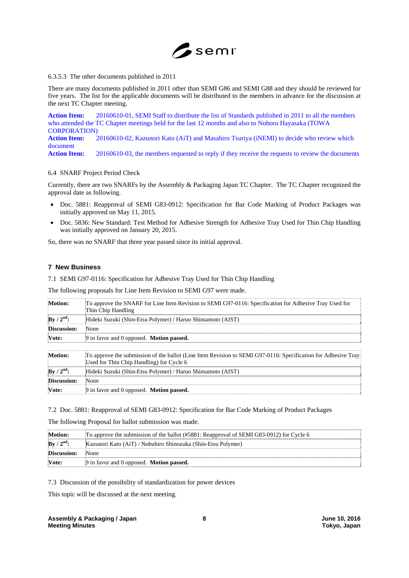

#### 6.3.5.3 The other documents published in 2011

There are many documents published in 2011 other than SEMI G86 and SEMI G88 and they should be reviewed for five years. The list for the applicable documents will be distributed to the members in advance for the discussion at the next TC Chapter meeting.

**Action Item:** 20160610-01, SEMI Staff to distribute the list of Standards published in 2011 to all the members who attended the TC Chapter meetings held for the last 12 months and also to Noboru Hayasaka (TOWA CORPORATION) **Action Item:** 20160610-02, Kazunori Kato (AiT) and Masahiro Tsuriya (iNEMI) to decide who review which document

Action Item: 20160610-03, the members requested to reply if they receive the requests to review the documents

#### 6.4 SNARF Project Period Check

Currently, there are two SNARFs by the Assembly & Packaging Japan TC Chapter. The TC Chapter recognized the approval date as following.

- Doc. 5881: Reapproval of SEMI G83-0912: Specification for Bar Code Marking of Product Packages was initially approved on May 11, 2015.
- Doc. 5836: New Standard: Test Method for Adhesive Strength for Adhesive Tray Used for Thin Chip Handling was initially approved on January 20, 2015.

So, there was no SNARF that three year passed since its initial approval.

#### **7 New Business**

7.1 SEMI G97-0116: Specification for Adhesive Tray Used for Thin Chip Handling

The following proposals for Line Item Revision to SEMI G97 were made.

| <b>Motion:</b>     | To approve the SNARF for Line Item Revision to SEMI G97-0116: Specification for Adhesive Tray Used for<br>Thin Chip Handling                              |  |
|--------------------|-----------------------------------------------------------------------------------------------------------------------------------------------------------|--|
| $By / 2nd$ :       | Hideki Suzuki (Shin-Etsu Polymer) / Haruo Shimamoto (AIST)                                                                                                |  |
| <b>Discussion:</b> | None                                                                                                                                                      |  |
| Vote:              | 9 in favor and 0 opposed. <b>Motion passed.</b>                                                                                                           |  |
|                    |                                                                                                                                                           |  |
| <b>Motion:</b>     | To approve the submission of the ballot (Line Item Revision to SEMI G97-0116: Specification for Adhesive Tray<br>Used for Thin Chip Handling) for Cycle 6 |  |
| $By / 2nd$ :       | Hideki Suzuki (Shin-Etsu Polymer) / Haruo Shimamoto (AIST)                                                                                                |  |
| Discussion:        | None                                                                                                                                                      |  |
| Vote:              | 9 in favor and 0 opposed. <b>Motion passed.</b>                                                                                                           |  |

7.2 Doc. 5881: Reapproval of SEMI G83-0912: Specification for Bar Code Marking of Product Packages

The following Proposal for ballot submission was made.

| <b>Motion:</b> | To approve the submission of the ballot (#5881: Reapproval of SEMI G83-0912) for Cycle 6 |  |
|----------------|------------------------------------------------------------------------------------------|--|
| $By / 2nd$ :   | Kazunori Kato (AiT) / Nobuhiro Shinozuka (Shin-Etsu Polymer)                             |  |
| Discussion:    | None                                                                                     |  |
| Vote:          | 9 in favor and 0 opposed. <b>Motion passed.</b>                                          |  |

7.3 Discussion of the possibility of standardization for power devices

This topic will be discussed at the next meeting.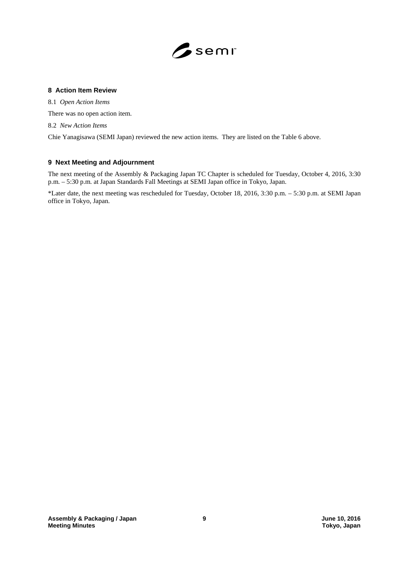

## **8 Action Item Review**

8.1 *Open Action Items*

There was no open action item.

8.2 *New Action Items*

Chie Yanagisawa (SEMI Japan) reviewed the new action items. They are listed on the Table 6 above.

# **9 Next Meeting and Adjournment**

The next meeting of the Assembly & Packaging Japan TC Chapter is scheduled for Tuesday, October 4, 2016, 3:30 p.m. – 5:30 p.m. at Japan Standards Fall Meetings at SEMI Japan office in Tokyo, Japan.

\*Later date, the next meeting was rescheduled for Tuesday, October 18, 2016, 3:30 p.m. – 5:30 p.m. at SEMI Japan office in Tokyo, Japan.